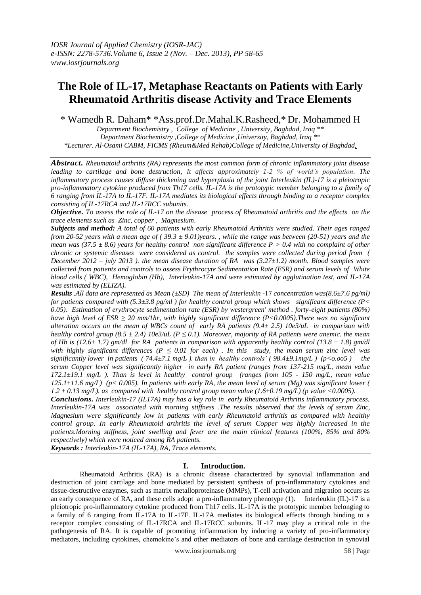# **The Role of IL-17, Metaphase Reactants on Patients with Early Rheumatoid Arthritis disease Activity and Trace Elements**

\* Wamedh R. Daham\* \*Ass.prof.Dr.Mahal.K.Rasheed,\* Dr. Mohammed H

*Department Biochemistry , College of Medicine , University, Baghdad, Iraq \*\* Department Biochemistry ,College of Medicine ,University, Baghdad, Iraq \*\* \*Lecturer. Al-Osami CABM, FICMS (Rheum&Med Rehab)College of Medicine,University of Baghdad.*

*Abstract. Rheumatoid arthritis (RA) represents the most common form of chronic inflammatory joint disease leading to cartilage and bone destruction, It affects approximately 1-2 % of world's population. The inflammatory process causes diffuse thickening and hyperplasia of the joint Interleukin (IL)-17 is a pleiotropic pro-inflammatory cytokine produced from Th17 cells. IL-17A is the prototypic member belonging to a family of 6 ranging from IL-17A to IL-17F. IL-17A mediates its biological effects through binding to a receptor complex consisting of IL-17RCA and IL-17RCC subunits.*

*Objective. To assess the role of IL-17 on the disease process of Rheumatoid arthritis and the effects on the trace elements such as Zinc, copper , Magnesium*.

*Subjects and method: A total of 60 patients with early Rheumatoid Arthritis were studied. Their ages ranged from 20-52 years with a mean age of ( 39.3 ± 9.01)years. , while the range was between (20-51) years and the mean was (37.5 ± 8.6) years for healthy control non significant difference P > 0.4 with no complaint of other chronic or systemic diseases were considered as control. the samples were collected during period from ( December 2012 – july 2013 ). the mean disease duration of RA was (3.27±1.2) month. Blood samples were collected from patients and controls to assess Erythrocyte Sedimentation Rate (ESR) and serum levels of White blood cells ( WBC), Hemoglobin (Hb), Interleukin-17A and were estimated by agglutination test, and IL-17A was estimated by (ELIZA).*

*Results .All data are represented as Mean (±SD) The mean of Interleukin -*71 *concentration was(8.6±7.6 pg/ml) for patients compared with (5.3±3.8 pg/ml ) for healthy control group which shows significant difference (P< 0.05). Estimation of erythrocyte sedimentation rate (ESR) by westergreen' method . forty-eight patients (80%) have high level of ESR ≥ 20 mm/1hr, with highly significant difference (P<0.0005).There was no significant alteration occurs on the mean of WBCs count of early RA patients (9.4± 2.5) 10e3/uL in comparison with healthy control group (8.5*  $\pm$  *2.4) 10e3/uL (P*  $\leq$  *0.1). Moreover, majority of RA patients were anemic. the mean of Hb is (12.6± 1.7) gm/dl for RA patients in comparison with apparently healthy control (13.8 ± 1.8) gm/dl with highly significant differences (P*  $\leq$  *0.01 for each) . In this study, the mean serum zinc level was significantly lower in patients ( 74.4±7.1 mg/L ). than in healthy controls' ( 98.4±9.1mg/L ) (p<o.oo5 ) the serum Copper level was significantly higher in early RA patient (ranges from 137-215 mg/L, mean value 172.1±19.1 mg/L ). Than is level in healthy control group (ranges from 105 - 150 mg/L, mean value 125.1±11.6 mg/L) (p< 0.005). In patients with early RA, the mean level of serum (Mg) was significant lower ( 1.2 ± 0.13 mg/L). as compared with healthy control group mean value (1.6±0.19 mg/L) (p value <0.0005).*

*Conclusions. Interleukin-17 (IL17A) may has a key role in early Rheumatoid Arthritis inflammatory process. Interleukin-17A was associated with morning stiffness .The results observed that the levels of serum Zinc, Magnesium were significantly low in patients with early Rheumatoid arthritis as compared with healthy control group. In early Rheumatoid arthritis the level of serum Copper was highly increased in the patients.Morning stiffness, joint swelling and fever are the main clinical features (100%, 85% and 80% respectively) which were noticed among RA patients.* 

*Keywords : Interleukin-17A (IL-17A), RA, Trace elements.*

## **I. Introduction.**

Rheumatoid Arthritis (RA) is a chronic disease characterized by synovial inflammation and destruction of joint cartilage and bone mediated by persistent synthesis of pro-inflammatory cytokines and tissue-destructive enzymes, such as matrix metalloproteinase (MMPs), T-cell activation and migration occurs as an early consequence of RA, and these cells adopt a pro-inflammatory phenotype (1). Interleukin (IL)-17 is a pleiotropic pro-inflammatory cytokine produced from Th17 cells. IL-17A is the prototypic member belonging to a family of 6 ranging from IL-17A to IL-17F. IL-17A mediates its biological effects through binding to a receptor complex consisting of IL-17RCA and IL-17RCC subunits. IL-17 may play a critical role in the pathogenesis of RA. It is capable of promoting inflammation by inducing a variety of pro-inflammatory mediators, including cytokines, chemokine's and other mediators of bone and cartilage destruction in synovial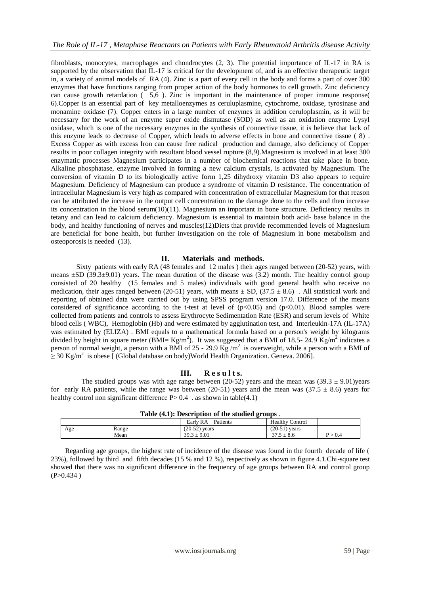fibroblasts, monocytes, macrophages and chondrocytes (2, 3). The potential importance of IL-17 in RA is supported by the observation that IL-17 is critical for the development of, and is an effective therapeutic target in, a variety of animal models of RA (4). Zinc is a part of every cell in the body and forms a part of over 300 enzymes that have functions ranging from proper action of the body hormones to cell growth. Zinc deficiency can cause growth retardation ( 5,6 ). Zinc is important in the maintenance of proper immune response( 6).Copper is an essential part of key metalloenzymes as ceruluplasmine, cytochrome, oxidase, tyrosinase and monamine oxidase (7). Copper enters in a large number of enzymes in addition ceruloplasmin, as it will be necessary for the work of an enzyme super oxide dismutase (SOD) as well as an oxidation enzyme Lysyl oxidase, which is one of the necessary enzymes in the synthesis of connective tissue, it is believe that lack of this enzyme leads to decrease of Copper, which leads to adverse effects in bone and connective tissue ( 8) . Excess Copper as with excess Iron can cause free radical production and damage, also deficiency of Copper results in poor collagen integrity with resultant blood vessel rupture (8,9).Magnesium is involved in at least 300 enzymatic processes Magnesium participates in a number of biochemical reactions that take place in bone. Alkaline phosphatase, enzyme involved in forming a new calcium crystals, is activated by Magnesium. The conversion of vitamin D to its biologically active form 1,25 dihydroxy vitamin D3 also appears to require Magnesium. Deficiency of Magnesium can produce a syndrome of vitamin D resistance. The concentration of intracellular Magnesium is very high as compared with concentration of extracellular Magnesium for that reason can be attributed the increase in the output cell concentration to the damage done to the cells and then increase its concentration in the blood serum $(10)(11)$ . Magnesium an important in bone structure. Deficiency results in tetany and can lead to calcium deficiency. Magnesium is essential to maintain both acid- base balance in the body, and healthy functioning of nerves and muscles(12)Diets that provide recommended levels of Magnesium are beneficial for bone health, but further investigation on the role of Magnesium in bone metabolism and osteoporosis is needed (13).

## **II. Materials and methods.**

 Sixty patients with early RA (48 females and 12 males ) their ages ranged between (20-52) years, with means  $\pm SD$  (39.3 $\pm$ 9.01) years. The mean duration of the disease was (3.2) month. The healthy control group consisted of 20 healthy (15 females and 5 males) individuals with good general health who receive no medication, their ages ranged between (20-51) years, with means  $\pm$  SD, (37.5  $\pm$  8.6). All statistical work and reporting of obtained data were carried out by using SPSS program version 17.0. Difference of the means considered of significance according to the t-test at level of  $(p<0.05)$  and  $(p<0.01)$ . Blood samples were collected from patients and controls to assess Erythrocyte Sedimentation Rate (ESR) and serum levels of White blood cells ( WBC), Hemoglobin (Hb) and were estimated by agglutination test, and Interleukin-17A (IL-17A) was estimated by (ELIZA) . BMI equals to a mathematical formula based on a person's weight by kilograms divided by height in square meter (BMI=  $Kg/m<sup>2</sup>$ ). It was suggested that a BMI of 18.5- 24.9  $Kg/m<sup>2</sup>$  indicates a person of normal weight, a person with a BMI of 25 - 29.9  $\text{Kg/m}^2$  is overweight, while a person with a BMI of  $\geq$  30 Kg/m<sup>2</sup> is obese [ (Global database on body)World Health Organization. Geneva. 2006].

## **III. R e s u l t s.**

The studied groups was with age range between (20-52) years and the mean was  $(39.3 \pm 9.01)$ years for early RA patients, while the range was between (20-51) years and the mean was (37.5  $\pm$  8.6) years for healthy control non significant difference  $P > 0.4$ . as shown in table(4.1)

|     | Table (4.1). Description of the studied groups. |                   |                        |                        |  |  |  |  |
|-----|-------------------------------------------------|-------------------|------------------------|------------------------|--|--|--|--|
|     |                                                 | Early RA Patients | <b>Healthy Control</b> |                        |  |  |  |  |
| Age | Range                                           | $(20-52)$ years   | $(20-51)$ years        |                        |  |  |  |  |
|     | Mean                                            | $39.3 \pm 9.01$   | $37.5 \pm 8.6$         | $\mathrm{P}$ $>$ $0.4$ |  |  |  |  |
|     |                                                 |                   |                        |                        |  |  |  |  |

| Table (4.1): Description of the studied groups. |  |
|-------------------------------------------------|--|
|-------------------------------------------------|--|

 Regarding age groups, the highest rate of incidence of the disease was found in the fourth decade of life ( 23%), followed by third and fifth decades (15 % and 12 %), respectively as shown in figure 4.1.Chi-square test showed that there was no significant difference in the frequency of age groups between RA and control group  $(P>0.434)$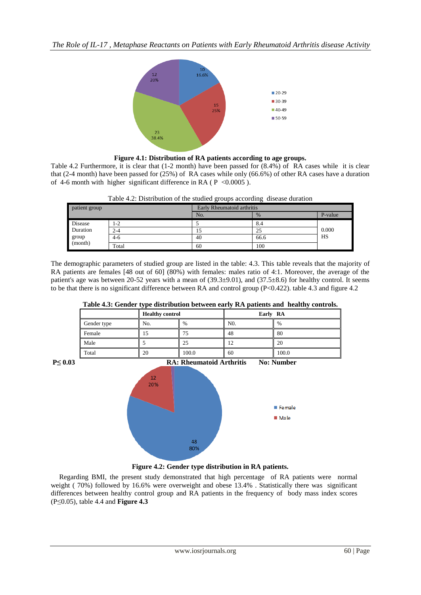*The Role of IL-17 , Metaphase Reactants on Patients with Early Rheumatoid Arthritis disease Activity*



**Figure 4.1: Distribution of RA patients according to age groups.**

Table 4.2 Furthermore, it is clear that (1-2 month) have been passed for (8.4%) of RA cases while it is clear that (2-4 month) have been passed for (25%) of RA cases while only (66.6%) of other RA cases have a duration of 4-6 month with higher significant difference in RA ( $P < 0.0005$ ).

| Table 4.2: Distribution of the studied groups according disease duration |  |  |
|--------------------------------------------------------------------------|--|--|
|                                                                          |  |  |

| patient group |         | Early Rheumatoid arthritis |      |         |  |
|---------------|---------|----------------------------|------|---------|--|
|               |         | No.                        | $\%$ | P-value |  |
| Disease       | $1-2$   |                            | 8.4  |         |  |
| Duration      | $2 - 4$ | 15                         | 25   | 0.000   |  |
| group         | $4-6$   | 40                         | 66.6 | HS      |  |
| (month)       | Total   | 60                         | 100  |         |  |

The demographic parameters of studied group are listed in the table: 4.3. This table reveals that the majority of RA patients are females [48 out of 60] (80%) with females: males ratio of 4:1. Moreover, the average of the patient's age was between 20-52 years with a mean of (39.3±9.01), and (37.5±8.6) for healthy control. It seems to be that there is no significant difference between RA and control group (P<0.422). table 4.3 and figure 4.2

|  |  |  | Table 4.3: Gender type distribution between early RA patients and healthy controls. |
|--|--|--|-------------------------------------------------------------------------------------|
|  |  |  |                                                                                     |

|             |                        |       |                | $\sim$ $\sim$ $\sim$ $\sim$ $\sim$ $\sim$ $\sim$ $\sim$ |
|-------------|------------------------|-------|----------------|---------------------------------------------------------|
|             | <b>Healthy control</b> |       | Early RA       |                                                         |
| Gender type | No.                    | $\%$  | N <sub>0</sub> | $\%$                                                    |
| Female      | כ ו                    | 75    | 48             | 80                                                      |
| Male        |                        | 25    |                | 20                                                      |
| Total       | 20                     | 100.0 | 60             | 100.0                                                   |





## **Figure 4.2: Gender type distribution in RA patients.**

 Regarding BMI, the present study demonstrated that high percentage of RA patients were normal weight (70%) followed by 16.6% were overweight and obese 13.4%. Statistically there was significant differences between healthy control group and RA patients in the frequency of body mass index scores (P≤0.05), table 4.4 and **Figure 4.3**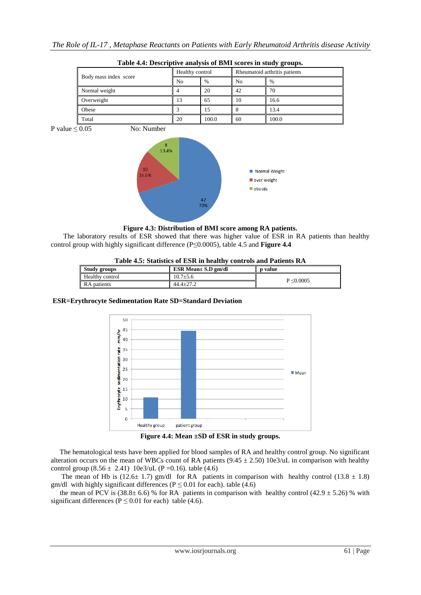| Table 4.4. Descriptive analysis of Divil Scores in study groups. |                 |               |    |                               |  |  |  |
|------------------------------------------------------------------|-----------------|---------------|----|-------------------------------|--|--|--|
| Body mass index score                                            | Healthy control |               |    | Rheumatoid arthritis patients |  |  |  |
|                                                                  | No              | $\frac{0}{0}$ | No | %                             |  |  |  |
| Normal weight                                                    |                 | 20            | 42 | 70                            |  |  |  |
| Overweight                                                       | 13              | 65            | 10 | 16.6                          |  |  |  |
| Obese                                                            |                 | 15            |    | 13.4                          |  |  |  |
| Total                                                            | 20              | 100.0         | 60 | 100.0                         |  |  |  |

P value  $\leq 0.05$  No: Number



**Figure 4.3: Distribution of BMI score among RA patients.**

 The laboratory results of ESR showed that there was higher value of ESR in RA patients than healthy control group with highly significant difference (P≤0.0005), table 4.5 and **Figure 4.4**

## **Table 4.5: Statistics of ESR in healthy controls and Patients RA**

| <b>Study groups</b>    | $ESR Mean \pm S.D$ gm/dl | p value        |
|------------------------|--------------------------|----------------|
| <b>Healthy control</b> | $10.7 \pm 5.6$           |                |
| RA patients            | $44.4 \pm 27.2$          | $P \le 0.0005$ |

## **ESR=Erythrocyte Sedimentation Rate SD=Standard Deviation**



**Figure 4.4: Mean ±SD of ESR in study groups.**

 The hematological tests have been applied for blood samples of RA and healthy control group. No significant alteration occurs on the mean of WBCs count of RA patients  $(9.45 \pm 2.50)$  10e3/uL in comparison with healthy control group  $(8.56 \pm 2.41)$  10e3/uL (P = 0.16). table (4.6)

The mean of Hb is (12.6 $\pm$  1.7) gm/dl for RA patients in comparison with healthy control (13.8  $\pm$  1.8) gm/dl with highly significant differences ( $P \le 0.01$  for each). table (4.6)

the mean of PCV is  $(38.8 \pm 6.6)$  % for RA patients in comparison with healthy control  $(42.9 \pm 5.26)$  % with significant differences ( $P \le 0.01$  for each) table (4.6).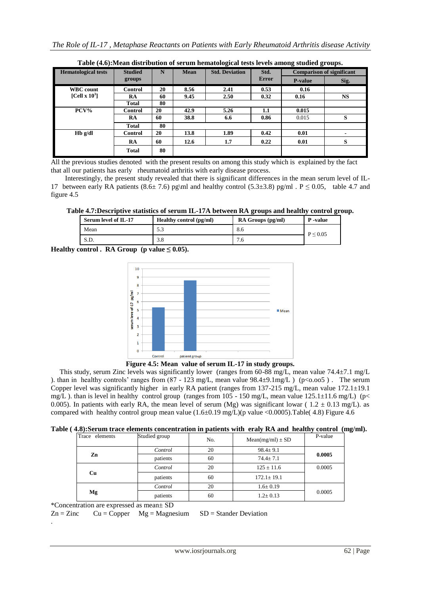| <b>Hematological tests</b>           | <b>Studied</b> |    | N<br><b>Mean</b> | Tuble (110) in team abolibation of beliam hematological tests for the among beliated groups.<br><b>Std. Deviation</b> | Std.  | <b>Comparison of significant</b> |           |
|--------------------------------------|----------------|----|------------------|-----------------------------------------------------------------------------------------------------------------------|-------|----------------------------------|-----------|
|                                      | groups         |    |                  |                                                                                                                       | Error | <b>P-value</b>                   | Sig.      |
| <b>WBC</b> count                     | <b>Control</b> | 20 | 8.56             | 2.41                                                                                                                  | 0.53  | 0.16                             |           |
| [Cell $\mathbf{x}$ 10 <sup>3</sup> ] | <b>RA</b>      | 60 | 9.45             | 2.50                                                                                                                  | 0.32  | 0.16                             | <b>NS</b> |
|                                      | Total          | 80 |                  |                                                                                                                       |       |                                  |           |
| PCV%                                 | <b>Control</b> | 20 | 42.9             | 5.26                                                                                                                  | 1.1   | 0.015                            |           |
|                                      | RA             | 60 | 38.8             | 6.6                                                                                                                   | 0.86  | 0.015                            | S         |
|                                      | Total          | 80 |                  |                                                                                                                       |       |                                  |           |
| $Hb$ g/dl                            | <b>Control</b> | 20 | 13.8             | 1.89                                                                                                                  | 0.42  | 0.01                             |           |
|                                      | <b>RA</b>      | 60 | 12.6             | 1.7                                                                                                                   | 0.22  | 0.01                             | S         |
|                                      | <b>Total</b>   | 80 |                  |                                                                                                                       |       |                                  |           |

**Table (4.6):Mean distribution of serum hematological tests levels among studied groups.**

All the previous studies denoted with the present results on among this study which is explained by the fact that all our patients has early rheumatoid arthritis with early disease process.

 Interestingly, the present study revealed that there is significant differences in the mean serum level of IL-17 between early RA patients (8.6 $\pm$  7.6) pg\ml and healthy control (5.3 $\pm$ 3.8) pg/ml . P  $\leq$  0.05, table 4.7 and figure 4.5

**Table 4.7:Descriptive statistics of serum IL-17A between RA groups and healthy control group.**

| 8.6 | $P \le 0.05$ |
|-----|--------------|
| 7.6 |              |
|     |              |

**Healthy control . RA Group (p value**  $\leq 0.05$ **).** 



**Figure 4.5: Mean value of serum IL-17 in study groups.**

 This study, serum Zinc levels was significantly lower (ranges from 60-88 mg/L, mean value 74.4±7.1 mg/L ). than in healthy controls' ranges from  $(87 - 123 \text{ mg/L}, \text{mean value } 98.4 \pm 9.1 \text{ mg/L})$  (p<0.005). The serum Copper level was significantly higher in early RA patient (ranges from 137-215 mg/L, mean value 172.1±19.1 mg/L ). than is level in healthy control group (ranges from  $105 - 150$  mg/L, mean value  $125.1 \pm 11.6$  mg/L) (p< 0.005). In patients with early RA, the mean level of serum (Mg) was significant lowar ( $1.2 \pm 0.13$  mg/L). as compared with healthy control group mean value (1.6±0.19 mg/L)(p value <0.0005).Table( 4.8) Figure 4.6

| Table (4.8): Serum trace elements concentration in patients with eraly RA and healthy control (mg/ml). |  |  |  |  |
|--------------------------------------------------------------------------------------------------------|--|--|--|--|
|--------------------------------------------------------------------------------------------------------|--|--|--|--|

| Trace elements | Studied group | No.<br>$Mean(mg/ml) \pm SD$ |                  | P-value |  |
|----------------|---------------|-----------------------------|------------------|---------|--|
|                | Control       | 20                          | $98.4 \pm 9.1$   |         |  |
| Zn             | patients      | 60                          | $74.4 \pm 7.1$   | 0.0005  |  |
|                | Control       | 20                          | $125 \pm 11.6$   | 0.0005  |  |
| Cu             | patients      | 60                          | $172.1 \pm 19.1$ |         |  |
|                | Control       | 20                          | $1.6 \pm 0.19$   |         |  |
| Mg             | patients      | 60                          | $1.2 \pm 0.13$   | 0.0005  |  |

\*Concentration are expressed as mean± SD

.

 $Zn = Zinc$  Cu = Copper Mg = Magnesium SD = Stander Deviation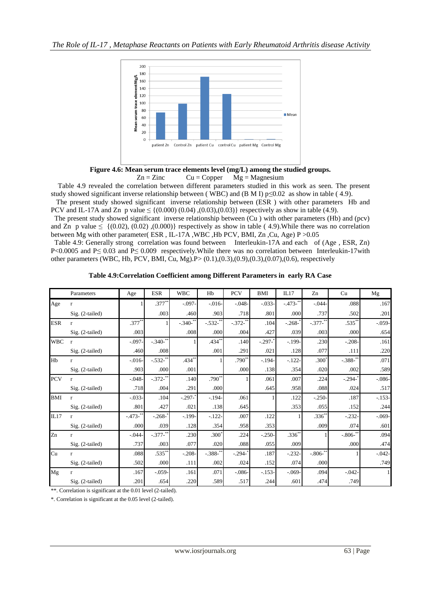

**Figure 4.6: Mean serum trace elements level (mg/L) among the studied groups.**  $Zn = Zinc$   $Cu = Copper$   $Mg = Magnesium$ 

 Table 4.9 revealed the correlation between different parameters studied in this work as seen. The present study showed significant inverse relationship between (WBC) and (B M I)  $p \le 0.02$  as show in table (4.9).

 The present study showed significant inverse relationship between (ESR ) with other parameters Hb and PCV and IL-17A and Zn p value  $\leq \{(0.000) (0.04), (0.03), (0.03)\}\$ respectively as show in table (4.9).

 The present study showed significant inverse relationship between (Cu ) with other parameters (Hb) and (pcv) and Zn p value  $\leq \{ (0.02), (0.02), (0.000) \}$  respectively as show in table (4.9). While there was no correlation between Mg with other parameter( ESR , IL-17A ,WBC ,Hb PCV, BMI, Zn ,Cu, Age) P >0.05

 Table 4.9: Generally strong correlation was found between Interleukin-17A and each of (Age , ESR, Zn) P<0.0005 and P≤ 0.03 and P≤ 0.009 respectively. While there was no correlation between Interleukin-17with other parameters (WBC, Hb, PCV, BMI, Cu, Mg).P> (0.1),(0.3),(0.9),(0.3),(0.07),(0.6), respectively

|  |  | Table 4.9: Correlation Coefficient among Different Parameters in early RA Case |  |  |
|--|--|--------------------------------------------------------------------------------|--|--|
|--|--|--------------------------------------------------------------------------------|--|--|

|            | Parameters        | Age       | <b>ESR</b>            | <b>WBC</b> | Hb            | <b>PCV</b>      | <b>BMI</b> | IL17      | Zn           | Cu                    | Mg         |
|------------|-------------------|-----------|-----------------------|------------|---------------|-----------------|------------|-----------|--------------|-----------------------|------------|
| Age        | $\mathbf{r}$      |           | $.377^{**}$           | $-.097$    | $-0.016-$     | $-.048-$        | $-0.033-$  | $-473-$   | $-.044$      | .088                  | .167       |
|            | $Sig. (2-tailed)$ |           | .003                  | .460       | .903          | .718            | .801       | .000      | .737         | .502                  | .201       |
| <b>ESR</b> | r                 | $.377**$  |                       | $-.340-$   | $-.532$ -**   | $-.372 - ^{**}$ | .104       | $-.268-$  | $-.377 -$ ** | .535*                 | $-.059-$   |
|            | Sig. (2-tailed)   | .003      |                       | .008       | .000          | .004            | .427       | .039      | .003         | .000                  | .654       |
| <b>WBC</b> | $\mathbf{r}$      | $-.097-$  | $-.340$ <sup>**</sup> |            | $.434**$      | .140            | $-.297 -$  | $-199-$   | .230         | $-.208$               | .161       |
|            | $Sig. (2-tailed)$ | .460      | .008                  |            | .001          | .291            | .021       | .128      | .077         | .111                  | .220       |
| Hb         | $\mathbf{r}$      | $-0.016-$ | $-.532-$              | .434*      |               | $.790^{**}$     | $-.194-$   | $-.122$   | $.300*$      | $-.388-$              | .071       |
|            | Sig. (2-tailed)   | .903      | .000                  | .001       |               | .000            | .138       | .354      | .020         | .002                  | .589       |
| <b>PCV</b> | $\mathbf{r}$      | $-.048-$  | $-.372 -$             | .140       | $.790**$      |                 | .061       | .007      | .224         | $-.294-$              | $-0.086 -$ |
|            | Sig. (2-tailed)   | .718      | .004                  | .291       | .000          |                 | .645       | .958      | .088         | .024                  | .517       |
| <b>BMI</b> | r                 | $-0.033-$ | .104                  | $-.297 -$  | $-194-$       | .061            |            | .122      | $-.250-$     | .187                  | $-153-$    |
|            | Sig. (2-tailed)   | .801      | .427                  | .021       | .138          | .645            |            | .353      | .055         | .152                  | .244       |
| IL17       | $\mathbf{r}$      | $-473-$   | $-.268-$              | $-199-$    | $-.122-$      | .007            | .122       |           | $.336*$      | $-0.232$              | $-0.069 -$ |
|            | Sig. (2-tailed)   | .000      | .039                  | .128       | .354          | .958            | .353       |           | .009         | .074                  | .601       |
| Zn         | $\mathbf{r}$      | $-0.044$  | $-.377 -$             | .230       | $.300*$       | .224            | $-.250-$   | $.336*$   |              | $-.806$ <sup>**</sup> | .094       |
|            | Sig. (2-tailed)   | .737      | .003                  | .077       | .020          | .088            | .055       | .009      |              | .000                  | .474       |
| Cu         | $\mathbf{r}$      | .088      | $.535$ **             | $-.208-$   | $-.388-^{**}$ | $-.294-$        | .187       | $-.232-$  | $-.806-$     |                       | $-0.042 -$ |
|            | Sig. (2-tailed)   | .502      | .000                  | .111       | .002          | .024            | .152       | .074      | .000         |                       | .749       |
| Mg         | $\mathbf{r}$      | .167      | $-0.059 -$            | .161       | .071          | $-0.086 -$      | $-153-$    | $-0.69 -$ | .094         | $-.042$               |            |
|            | Sig. (2-tailed)   | .201      | .654                  | .220       | .589          | .517            | .244       | .601      | .474         | .749                  |            |

\*\*. Correlation is significant at the 0.01 level (2-tailed).

\*. Correlation is significant at the 0.05 level (2-tailed).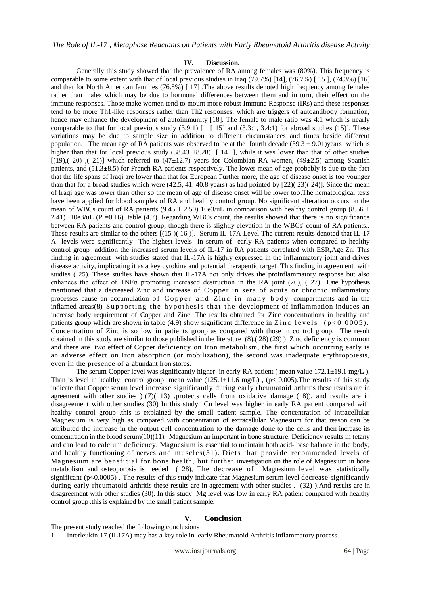## **IV. Discussion.**

 Generally this study showed that the prevalence of RA among females was (80%). This frequency is comparable to some extent with that of local previous studies in Iraq  $(79.7\%)$  [14],  $(76.7\%)$  [15],  $(74.3\%)$  [16] and that for North American families (76.8%) [ 17] .The above results denoted high frequency among females rather than males which may be due to hormonal differences between them and in turn, their effect on the immune responses. Those make women tend to mount more robust Immune Response (IRs) and these responses tend to be more Th1-like responses rather than Th2 responses, which are triggers of autoantibody formation, hence may enhance the development of autoimmunity [18]. The female to male ratio was 4:1 which is nearly comparable to that for local previous study (3.9:1) [ [ 15] and (3.3:1, 3.4:1) for abroad studies (15)]. These variations may be due to sample size in addition to different circumstances and times beside different population. The mean age of RA patients was observed to be at the fourth decade (39.3  $\pm$  9.01)years which is higher than that for local previous study  $(38.43 \pm 8.28)$  [14 ], while it was lower than that of other studies [(19),( 20) ,( 21)] which referred to (47**±**12.7) years for Colombian RA women, (49**±**2.5) among Spanish patients, and (51.3**±**8.5) for French RA patients respectively. The lower mean of age probably is due to the fact that the life spans of Iraqi are lower than that for European Further more, the age of disease onset is too younger than that for a broad studies which were  $(42.5, 41, 40.8$  years) as had pointed by  $[22)(23)(24)$ . Since the mean of Iraqi age was lower than other so the mean of age of disease onset will be lower too.The hematological tests have been applied for blood samples of RA and healthy control group. No significant alteration occurs on the mean of WBCs count of RA patients (9.45  $\pm$  2.50) 10e3/uL in comparison with healthy control group (8.56  $\pm$ 2.41) 10e3/uL ( $P = 0.16$ ). table (4.7). Regarding WBCs count, the results showed that there is no significance between RA patients and control group; though there is slightly elevation in the WBCs' count of RA patients.. These results are similar to the others [(15 )( 16 )]. Serum IL-17A Level The current results denoted that IL-17 A levels were significantly The highest levels in serum of early RA patients when compared to healthy control group addition the increased serum levels of IL-17 in RA patients correlated with ESR,Age,Zn. This finding in agreement with studies stated that IL-17A is highly expressed in the inflammatory joint and drives disease activity, implicating it as a key cytokine and potential therapeutic target. This finding in agreement with studies ( 25). These studies have shown that IL-17A not only drives the proinflammatory response but also enhances the effect of TNF $\alpha$  promoting increased destruction in the RA joint (26), (27) One hypothesis mentioned that a decreased Zinc and increase of Copper in sera of acute or chronic inflammatory processes cause an accumulation of Copper and  $\overline{Z}$  in c in many body compartments and in the inflamed areas(8) Supporting the hypothesis that the development of inflammation induces an increase body requirement of Copper and Zinc. The results obtained for Zinc concentrations in healthy and patients group which are shown in table (4.9) show significant difference in Zinc levels ( $p < 0.0005$ ). Concentration of Zinc is so low in patients group as compared with those in control group. The result obtained in this study are similar to those published in the literature (8).( 28) (29) ) Zinc deficiency is common and there are two effect of Copper deficiency on Iron metabolism, the first which occurring early is an adverse effect on Iron absorption (or mobilization), the second was inadequate erythropoiesis, even in the presence of a abundant Iron stores.

The serum Copper level was significantly higher in early RA patient ( mean value  $172.1 \pm 19.1$  mg/L ). Than is level in healthy control group mean value  $(125.1\pm11.6 \text{ mg/L})$ ,  $(p< 0.005)$ . The results of this study indicate that Copper serum level increase significantly during early rheumatoid arthritis these results are in agreement with other studies  $(7)(13)$  .protects cells from oxidative damage (8)). and results are in disagreement with other studies (30) In this study Cu level was higher in early RA patient compared with healthy control group .this is explained by the small patient sample. The concentration of intracellular Magnesium is very high as compared with concentration of extracellular Magnesium for that reason can be attributed the increase in the output cell concentration to the damage done to the cells and then increase its concentration in the blood serum $(10)(11)$ . Magnesium an important in bone structure. Deficiency results in tetany and can lead to calcium deficiency. Magnesium is essential to maintain both acid- base balance in the body, and healthy functioning of nerves and muscles(31). Diets that provide recommended levels of Magnesium are beneficial for bone health, but further investigation on the role of Magnesium in bone metabolism and osteoporosis is needed ( 28), The decrease of Magnesium level was statistically significant (p<0.0005). The results of this study indicate that Magnesium serum level decrease significantly during early rheumatoid arthritis these results are in agreement with other studies . (32) ).And results are in disagreement with other studies (30). In this study Mg level was low in early RA patient compared with healthy control group .this is explained by the small patient sample**.**

## **V. Conclusion**

The present study reached the following conclusions

<sup>1-</sup> Interleukin-17 (IL17A) may has a key role in early Rheumatoid Arthritis inflammatory process.